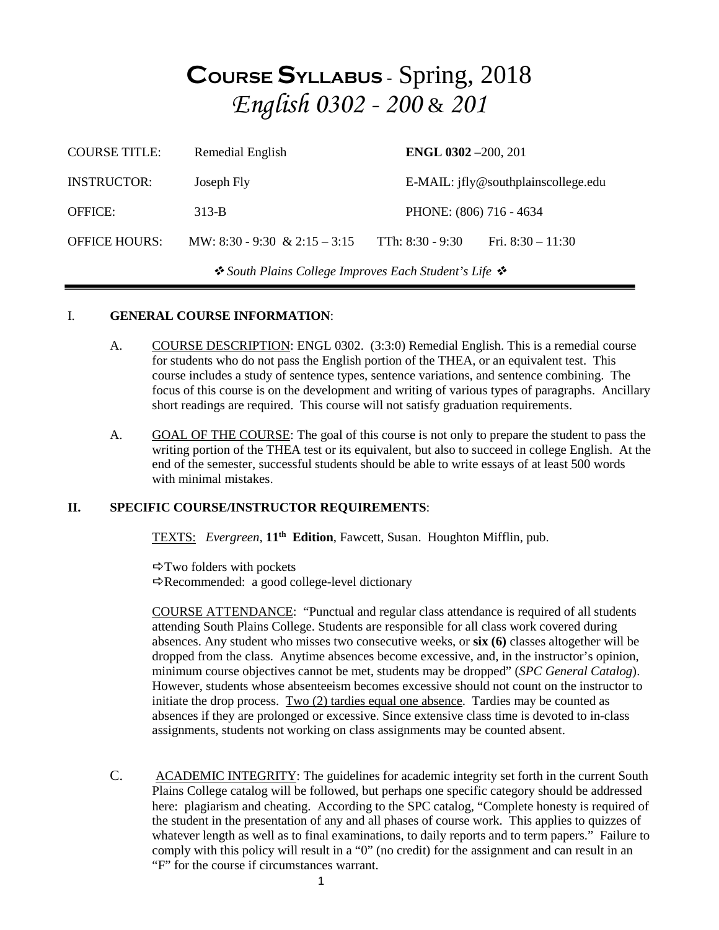## **COURSE SYLLABUS** - Spring, 2018 *English 0302 - 200* & *201*

| <b>COURSE TITLE:</b>                                  | Remedial English              | <b>ENGL 0302</b> -200, 201 |                                     |  |
|-------------------------------------------------------|-------------------------------|----------------------------|-------------------------------------|--|
| <b>INSTRUCTOR:</b>                                    | Joseph Fly                    |                            | E-MAIL: jfly@southplainscollege.edu |  |
| <b>OFFICE:</b>                                        | $313-B$                       |                            | PHONE: (806) 716 - 4634             |  |
| <b>OFFICE HOURS:</b>                                  | MW: 8:30 - 9:30 & 2:15 - 3:15 | TTh: $8:30 - 9:30$         | Fri. $8:30 - 11:30$                 |  |
| ❖ South Plains College Improves Each Student's Life ❖ |                               |                            |                                     |  |

#### I. **GENERAL COURSE INFORMATION**:

- A. COURSE DESCRIPTION: ENGL 0302. (3:3:0) Remedial English. This is a remedial course for students who do not pass the English portion of the THEA, or an equivalent test. This course includes a study of sentence types, sentence variations, and sentence combining. The focus of this course is on the development and writing of various types of paragraphs. Ancillary short readings are required. This course will not satisfy graduation requirements.
- A. GOAL OF THE COURSE: The goal of this course is not only to prepare the student to pass the writing portion of the THEA test or its equivalent, but also to succeed in college English. At the end of the semester, successful students should be able to write essays of at least 500 words with minimal mistakes.

#### **II. SPECIFIC COURSE/INSTRUCTOR REQUIREMENTS**:

TEXTS: *Evergreen*, **11th Edition**, Fawcett, Susan. Houghton Mifflin, pub.

 $\Rightarrow$  Two folders with pockets  $\Rightarrow$  Recommended: a good college-level dictionary

COURSE ATTENDANCE: "Punctual and regular class attendance is required of all students attending South Plains College. Students are responsible for all class work covered during absences. Any student who misses two consecutive weeks, or **six (6)** classes altogether will be dropped from the class. Anytime absences become excessive, and, in the instructor's opinion, minimum course objectives cannot be met, students may be dropped" (*SPC General Catalog*). However, students whose absenteeism becomes excessive should not count on the instructor to initiate the drop process. Two (2) tardies equal one absence. Tardies may be counted as absences if they are prolonged or excessive. Since extensive class time is devoted to in-class assignments, students not working on class assignments may be counted absent.

C. ACADEMIC INTEGRITY: The guidelines for academic integrity set forth in the current South Plains College catalog will be followed, but perhaps one specific category should be addressed here: plagiarism and cheating. According to the SPC catalog, "Complete honesty is required of the student in the presentation of any and all phases of course work. This applies to quizzes of whatever length as well as to final examinations, to daily reports and to term papers." Failure to comply with this policy will result in a "0" (no credit) for the assignment and can result in an "F" for the course if circumstances warrant.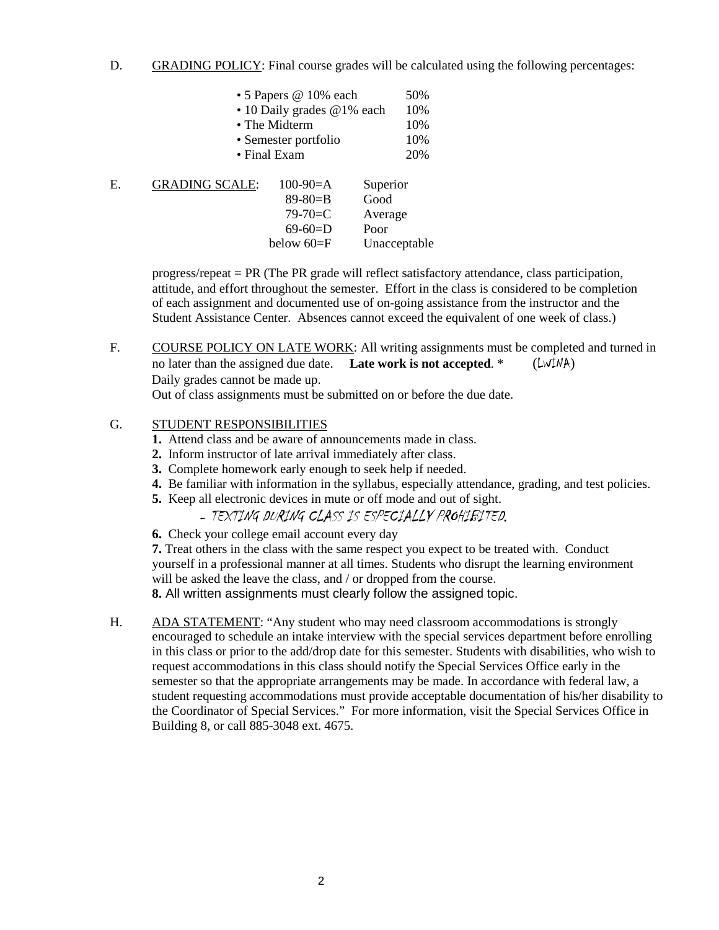D. GRADING POLICY: Final course grades will be calculated using the following percentages:

|    |                       | • 5 Papers @ 10% each      | 50%          |
|----|-----------------------|----------------------------|--------------|
|    |                       | • 10 Daily grades @1% each | 10%          |
|    |                       | • The Midterm              | 10%          |
|    | • Semester portfolio  |                            | 10%          |
|    |                       | • Final Exam               | 20%          |
| E. | <b>GRADING SCALE:</b> | $100-90=A$                 | Superior     |
|    |                       | $89 - 80 = B$              | Good         |
|    |                       | $79 - 70 = C$              | Average      |
|    |                       | $69-60=D$                  | Poor         |
|    |                       | below $60 = F$             | Unacceptable |

progress/repeat = PR (The PR grade will reflect satisfactory attendance, class participation, attitude, and effort throughout the semester. Effort in the class is considered to be completion of each assignment and documented use of on-going assistance from the instructor and the Student Assistance Center. Absences cannot exceed the equivalent of one week of class.)

F. COURSE POLICY ON LATE WORK: All writing assignments must be completed and turned in no later than the assigned due date. **Late work is not accepted**. \* (LWINA) Daily grades cannot be made up.

Out of class assignments must be submitted on or before the due date.

#### G. STUDENT RESPONSIBILITIES

- **1.** Attend class and be aware of announcements made in class.
- **2.** Inform instructor of late arrival immediately after class.
- **3.** Complete homework early enough to seek help if needed.
- **4.** Be familiar with information in the syllabus, especially attendance, grading, and test policies.
- **5.** Keep all electronic devices in mute or off mode and out of sight.
	- TEXTING DURING CLASS IS ESPECIALLY PROHIBITED*.*
- **6.** Check your college email account every day

**7.** Treat others in the class with the same respect you expect to be treated with. Conduct yourself in a professional manner at all times. Students who disrupt the learning environment will be asked the leave the class, and / or dropped from the course.

**8.** All written assignments must clearly follow the assigned topic.

H. ADA STATEMENT: "Any student who may need classroom accommodations is strongly encouraged to schedule an intake interview with the special services department before enrolling in this class or prior to the add/drop date for this semester. Students with disabilities, who wish to request accommodations in this class should notify the Special Services Office early in the semester so that the appropriate arrangements may be made. In accordance with federal law, a student requesting accommodations must provide acceptable documentation of his/her disability to the Coordinator of Special Services." For more information, visit the Special Services Office in Building 8, or call 885-3048 ext. 4675.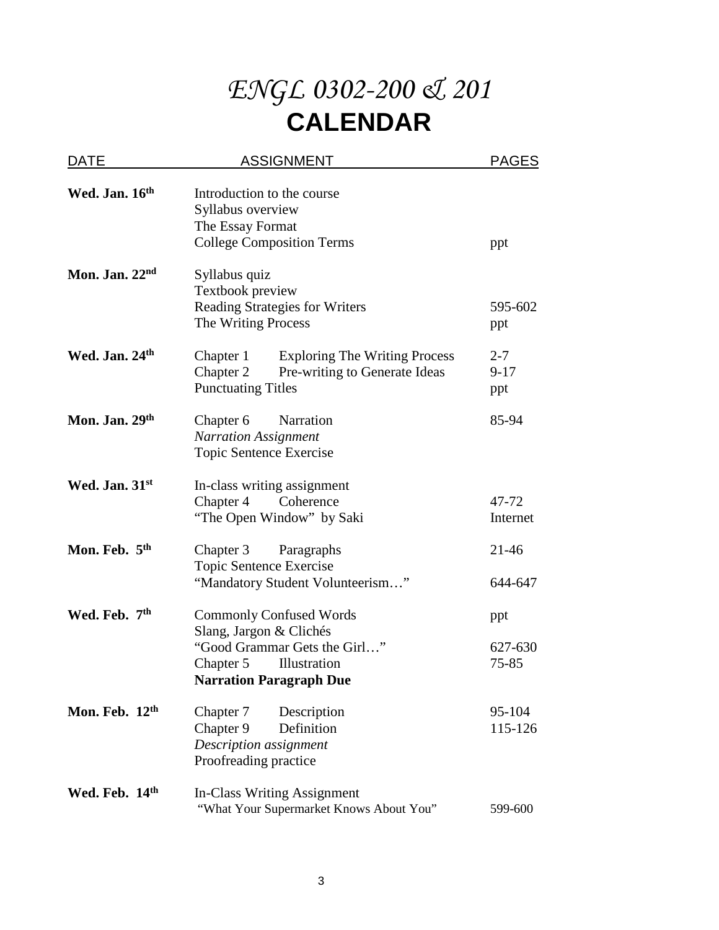# *ENGL 0302-200 & 201* **CALENDAR**

| DATE                      | <b>ASSIGNMENT</b>                                                                                                                                        | <b>PAGES</b>               |
|---------------------------|----------------------------------------------------------------------------------------------------------------------------------------------------------|----------------------------|
| Wed. Jan. 16th            | Introduction to the course<br>Syllabus overview<br>The Essay Format<br><b>College Composition Terms</b>                                                  | ppt                        |
| Mon. Jan. $22nd$          | Syllabus quiz<br>Textbook preview<br><b>Reading Strategies for Writers</b><br>The Writing Process                                                        | 595-602<br>ppt             |
| Wed. Jan. 24th            | <b>Exploring The Writing Process</b><br>Chapter 1<br>Chapter 2<br>Pre-writing to Generate Ideas<br><b>Punctuating Titles</b>                             | $2 - 7$<br>$9 - 17$<br>ppt |
| Mon. Jan. 29th            | Narration<br>Chapter 6<br><b>Narration Assignment</b><br>Topic Sentence Exercise                                                                         | 85-94                      |
| Wed. Jan. 31st            | In-class writing assignment<br>Chapter 4<br>Coherence<br>"The Open Window" by Saki                                                                       | 47-72<br>Internet          |
| Mon. Feb. 5th             | Chapter 3<br>Paragraphs<br>Topic Sentence Exercise<br>"Mandatory Student Volunteerism"                                                                   | 21-46<br>644-647           |
| Wed. Feb. 7 <sup>th</sup> | <b>Commonly Confused Words</b><br>Slang, Jargon & Clichés<br>"Good Grammar Gets the Girl"<br>Illustration<br>Chapter 5<br><b>Narration Paragraph Due</b> | ppt<br>627-630<br>75-85    |
| Mon. Feb. 12th            | Chapter 7<br>Description<br>Chapter 9<br>Definition<br>Description assignment<br>Proofreading practice                                                   | 95-104<br>115-126          |
| Wed. Feb. 14th            | <b>In-Class Writing Assignment</b><br>"What Your Supermarket Knows About You"                                                                            | 599-600                    |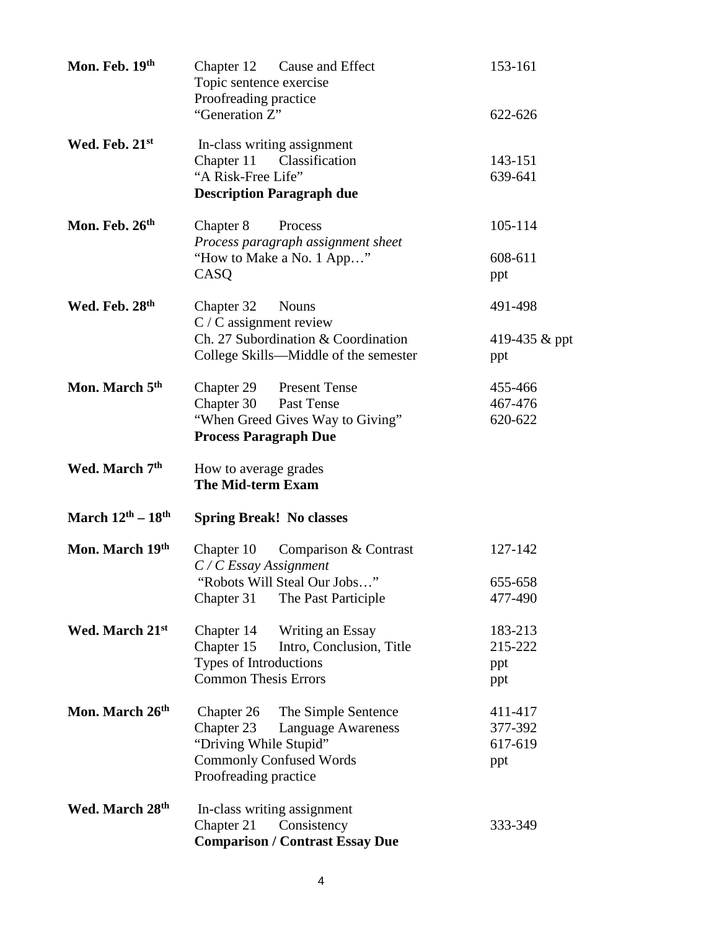| Mon. Feb. 19th                          | Chapter 12 Cause and Effect<br>Topic sentence exercise<br>Proofreading practice                                                                            | 153-161                              |
|-----------------------------------------|------------------------------------------------------------------------------------------------------------------------------------------------------------|--------------------------------------|
|                                         | "Generation Z"                                                                                                                                             | 622-626                              |
| Wed. Feb. 21st                          | In-class writing assignment<br>Chapter 11 Classification<br>"A Risk-Free Life"<br><b>Description Paragraph due</b>                                         | 143-151<br>639-641                   |
| Mon. Feb. 26th                          | Chapter 8<br>Process<br>Process paragraph assignment sheet<br>"How to Make a No. 1 App"<br>CASQ                                                            | 105-114<br>608-611<br>ppt            |
| Wed. Feb. 28th                          | Chapter 32<br><b>Nouns</b><br>$C / C$ assignment review<br>Ch. 27 Subordination & Coordination<br>College Skills—Middle of the semester                    | 491-498<br>419-435 & ppt<br>ppt      |
| Mon. March 5 <sup>th</sup>              | Chapter 29 Present Tense<br>Chapter 30 Past Tense<br>"When Greed Gives Way to Giving"<br><b>Process Paragraph Due</b>                                      | 455-466<br>467-476<br>620-622        |
| Wed. March 7 <sup>th</sup>              | How to average grades<br>The Mid-term Exam                                                                                                                 |                                      |
| March $12^{\text{th}} - 18^{\text{th}}$ | <b>Spring Break! No classes</b>                                                                                                                            |                                      |
| Mon. March 19th                         | Chapter 10 Comparison & Contrast<br>$C/C$ Essay Assignment<br>"Robots Will Steal Our Jobs"<br>Chapter 31<br>The Past Participle                            | 127-142<br>655-658<br>477-490        |
| Wed. March 21st                         | Writing an Essay<br>Chapter 14<br>Chapter 15<br>Intro, Conclusion, Title<br>Types of Introductions<br><b>Common Thesis Errors</b>                          | 183-213<br>215-222<br>ppt<br>ppt     |
| Mon. March 26th                         | Chapter 26<br>The Simple Sentence<br>Chapter 23<br>Language Awareness<br>"Driving While Stupid"<br><b>Commonly Confused Words</b><br>Proofreading practice | 411-417<br>377-392<br>617-619<br>ppt |
| Wed. March 28th                         | In-class writing assignment<br>Chapter 21<br>Consistency<br><b>Comparison / Contrast Essay Due</b>                                                         | 333-349                              |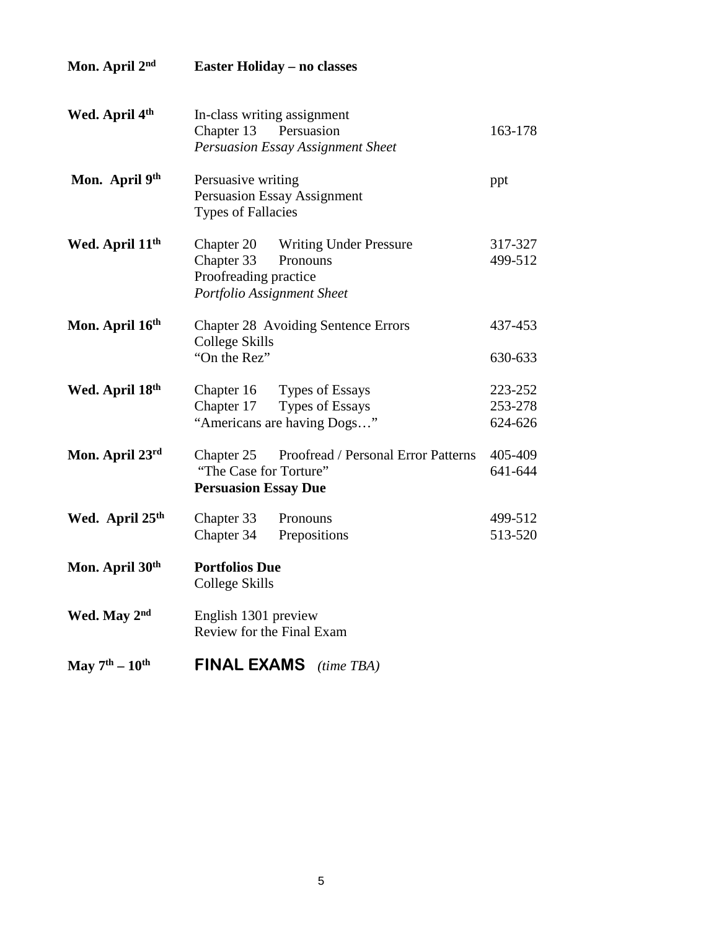| Mon. April 2 <sup>nd</sup>           | <b>Easter Holiday – no classes</b>                                                                                 |                               |
|--------------------------------------|--------------------------------------------------------------------------------------------------------------------|-------------------------------|
| Wed. April 4 <sup>th</sup>           | In-class writing assignment<br>Persuasion<br>Chapter 13<br><b>Persuasion Essay Assignment Sheet</b>                |                               |
| Mon. April 9th                       | Persuasive writing<br><b>Persuasion Essay Assignment</b><br><b>Types of Fallacies</b>                              | ppt                           |
| Wed. April 11 <sup>th</sup>          | Chapter 20 Writing Under Pressure<br>Chapter 33<br>Pronouns<br>Proofreading practice<br>Portfolio Assignment Sheet | 317-327<br>499-512            |
| Mon. April 16th                      | <b>Chapter 28 Avoiding Sentence Errors</b><br>College Skills<br>"On the Rez"                                       | 437-453<br>630-633            |
| Wed. April 18th                      | Chapter 16 Types of Essays<br>Types of Essays<br>Chapter 17<br>"Americans are having Dogs"                         | 223-252<br>253-278<br>624-626 |
| Mon. April 23rd                      | Chapter 25 Proofread / Personal Error Patterns<br>"The Case for Torture"<br><b>Persuasion Essay Due</b>            | 405-409<br>641-644            |
| Wed. April 25 <sup>th</sup>          | Chapter 33<br>Pronouns<br>Prepositions<br>Chapter 34                                                               | 499-512<br>513-520            |
| Mon. April 30th                      | <b>Portfolios Due</b><br><b>College Skills</b>                                                                     |                               |
| Wed. May 2nd                         | English 1301 preview<br>Review for the Final Exam                                                                  |                               |
| May $7^{\text{th}} - 10^{\text{th}}$ | <b>FINAL EXAMS</b><br>$(time$ TBA)                                                                                 |                               |